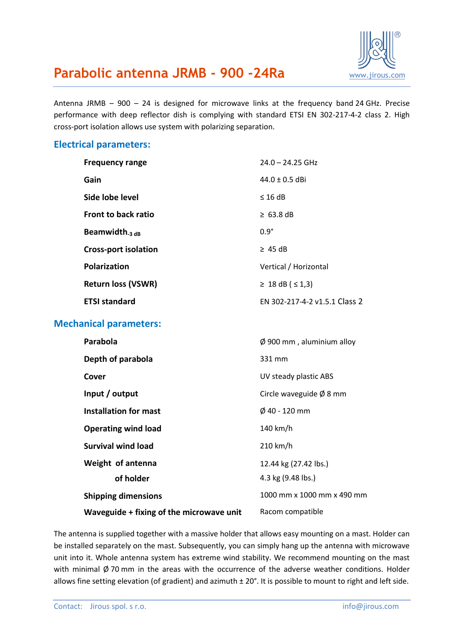

## **Parabolic antenna JRMB - 900 -24Ra** WWW.jirous.com

Antenna JRMB – 900 – 24 is designed for microwave links at the frequency band 24 GHz. Precise performance with deep reflector dish is complying with standard ETSI EN 302-217-4-2 class 2. High cross-port isolation allows use system with polarizing separation.

#### **Electrical parameters:**

| <b>Frequency range</b>      | $24.0 - 24.25$ GHz            |
|-----------------------------|-------------------------------|
| Gain                        | $44.0 \pm 0.5$ dBi            |
| Side lobe level             | $\leq$ 16 dB                  |
| Front to back ratio         | $\geq 63.8$ dB                |
| Beamwidth $_3$ $_{dB}$      | $0.9^\circ$                   |
| <b>Cross-port isolation</b> | $\geq$ 45 dB                  |
| <b>Polarization</b>         | Vertical / Horizontal         |
| <b>Return loss (VSWR)</b>   | ≥ 18 dB ( $\le$ 1,3)          |
| <b>ETSI standard</b>        | EN 302-217-4-2 v1.5.1 Class 2 |

### **Mechanical parameters:**

| Parabola                                 | $\varnothing$ 900 mm, aluminium alloy |
|------------------------------------------|---------------------------------------|
| Depth of parabola                        | 331 mm                                |
| Cover                                    | UV steady plastic ABS                 |
| Input / output                           | Circle waveguide $\emptyset$ 8 mm     |
| Installation for mast                    | Ø 40 - 120 mm                         |
| <b>Operating wind load</b>               | 140 km/h                              |
| Survival wind load                       | 210 km/h                              |
| Weight of antenna                        | 12.44 kg (27.42 lbs.)                 |
| of holder                                | 4.3 kg (9.48 lbs.)                    |
| <b>Shipping dimensions</b>               | 1000 mm x 1000 mm x 490 mm            |
| Waveguide + fixing of the microwave unit | Racom compatible                      |

The antenna is supplied together with a massive holder that allows easy mounting on a mast. Holder can be installed separately on the mast. Subsequently, you can simply hang up the antenna with microwave unit into it. Whole antenna system has extreme wind stability. We recommend mounting on the mast with minimal  $\emptyset$  70 mm in the areas with the occurrence of the adverse weather conditions. Holder allows fine setting elevation (of gradient) and azimuth ± 20°. It is possible to mount to right and left side.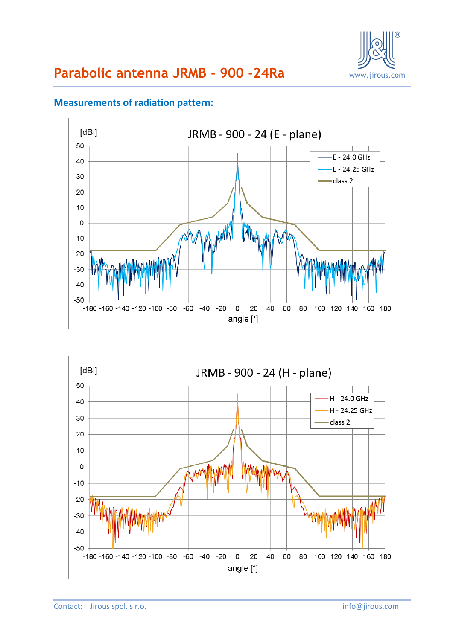

#### [dBi] JRMB - 900 - 24 (E - plane) 50 E - 24.0 GHz 40 E - 24.25 GHz 30 class 2 20  $10$  $\mathbf 0$  $-10$ N,  $-20$  $-30$  $-40$  $-50$ -180 -160 -140 -120 -100 -80 -60 -40 -20  $\overline{\mathbf{0}}$ 20 40 60 80 100 120 140 160 180 angle [°]

### **Measurements of radiation pattern:**